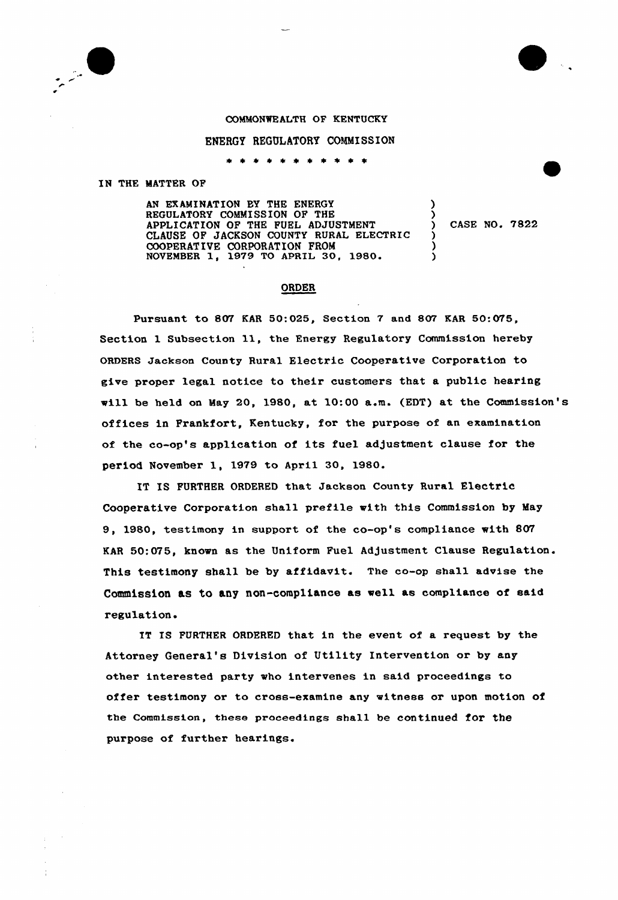

## COMMONWEALTH OP KENTUCKY

## ENERGY REGULATORY COMMISSION

\* \* \* \* \*

## IN THE MATTER OF

AN EXAMINATION BY THE ENERGY REGULATORY COMMISSION OF THE APPLICATION OF THE FUEI ADJUSTMENT CLAUSE OF JACKSON COUNTY RURAL ELECTRIC COOPERATIVE CORPORATION FROM NOVEMBER 1, 1979 TO APRIL 30, 1980.

) CASE NO. 7822

) )

> ) ) )

## ORDER

Pursuant to 807 KAR 50:025, Section 7 and 807 EAR 50:075, Section 1 Subsection 11, the Energy Regulatory Commission hereby ORDERS Jackson County Rural Electric Cooperative Corporation to give proper legal notice to their customers that a public hearing will be held on May 20, 1980, at 10:00 a.m. (EDT) at the Commission's offices in Frankfort, Kentucky, for the purpose of an examination of the co-op's application of its fuel adjustment clause for the period November 1, 1979 to April 30, 1980.

IT IS FURTHER ORDERED that Jackson County Rural Electric Cooperative Corporation shall prefile with this Commission by May 9, 1980, testimony in support of the co-op's compliance with 807 KAR 50:075. known as the Uniform Fuel Adjustment Clause Regulation. This testimony shall be by affidavit. The co-op shall advise the Commiseion as to any non-compliance as well as compliance of said regulation.

IT IS FURTHER ORDERED that in the event of a request by the Attorney General's Division of Utility Intervention or by any other interested party who intervenes in said proceedings to offer testimony or to cross-examine any witness or upon motion of the Commission, these proceedings shall be continued for the purpose of further hearings.